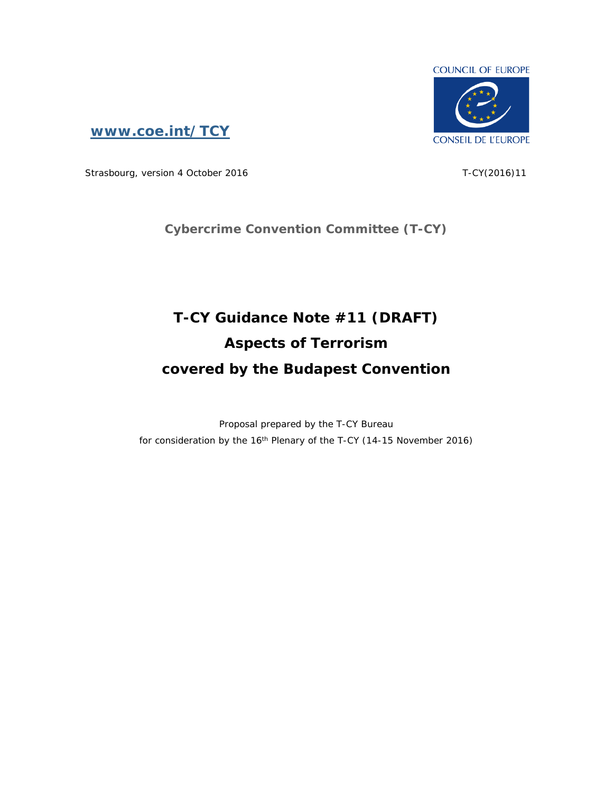

**[www.coe.int/TCY](http://www.coe.int/TCY)**

Strasbourg, version 4 October 2016 T-CY(2016)11

**Cybercrime Convention Committee (T-CY)**

# **T-CY Guidance Note #11 (DRAFT) Aspects of Terrorism covered by the Budapest Convention**

Proposal prepared by the T-CY Bureau for consideration by the 16<sup>th</sup> Plenary of the T-CY (14-15 November 2016)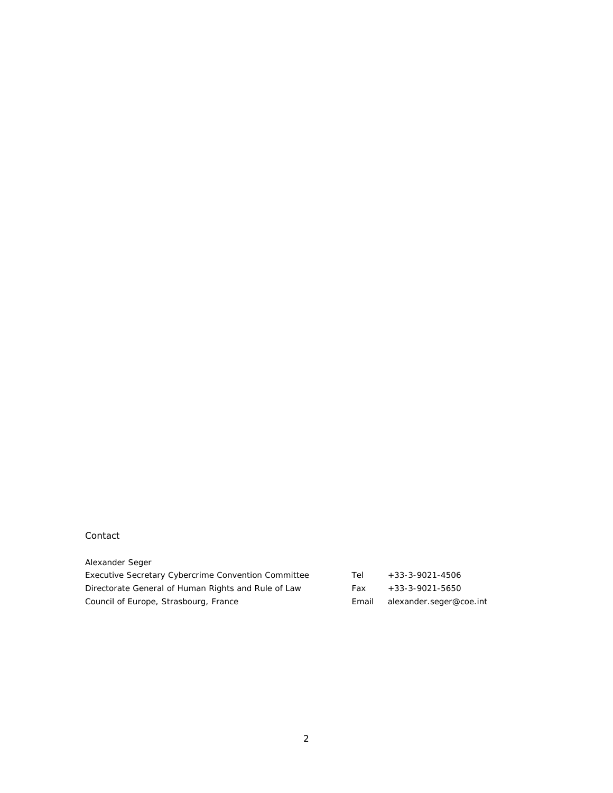#### Contact

| Alexander Seger                                     |       |                         |
|-----------------------------------------------------|-------|-------------------------|
| Executive Secretary Cybercrime Convention Committee | Tel   | $+33-3-9021-4506$       |
| Directorate General of Human Rights and Rule of Law | Fax   | $+33-3-9021-5650$       |
| Council of Europe, Strasbourg, France               | Email | alexander.seger@coe.int |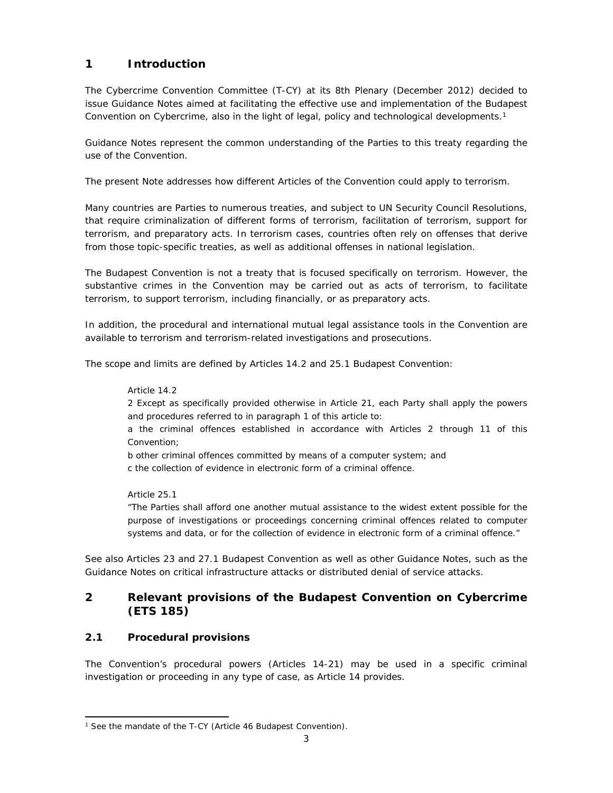# **1 Introduction**

The Cybercrime Convention Committee (T-CY) at its 8th Plenary (December 2012) decided to issue Guidance Notes aimed at facilitating the effective use and implementation of the Budapest Convention on Cybercrime, also in the light of legal, policy and technological developments.<sup>1</sup>

Guidance Notes represent the common understanding of the Parties to this treaty regarding the use of the Convention.

The present Note addresses how different Articles of the Convention could apply to terrorism.

Many countries are Parties to numerous treaties, and subject to UN Security Council Resolutions, that require criminalization of different forms of terrorism, facilitation of terrorism, support for terrorism, and preparatory acts. In terrorism cases, countries often rely on offenses that derive from those topic-specific treaties, as well as additional offenses in national legislation.

The Budapest Convention is not a treaty that is focused specifically on terrorism. However, the substantive crimes in the Convention may be carried out as acts of terrorism, to facilitate terrorism, to support terrorism, including financially, or as preparatory acts.

In addition, the procedural and international mutual legal assistance tools in the Convention are available to terrorism and terrorism-related investigations and prosecutions.

The scope and limits are defined by Articles 14.2 and 25.1 Budapest Convention:

#### Article 14.2

2 Except as specifically provided otherwise in Article 21, each Party shall apply the powers and procedures referred to in paragraph 1 of this article to:

a the criminal offences established in accordance with Articles 2 through 11 of this Convention;

b other criminal offences committed by means of a computer system; and

c the collection of evidence in electronic form of a criminal offence.

#### Article 25.1

"The Parties shall afford one another mutual assistance to the widest extent possible for the purpose of investigations or proceedings concerning criminal offences related to computer systems and data, or for the collection of evidence in electronic form of a criminal offence."

See also Articles 23 and 27.1 Budapest Convention as well as other Guidance Notes, such as the Guidance Notes on critical infrastructure attacks or distributed denial of service attacks.

# **2 Relevant provisions of the Budapest Convention on Cybercrime (ETS 185)**

## **2.1 Procedural provisions**

The Convention's procedural powers (Articles 14-21) may be used in a specific criminal investigation or proceeding in any type of case, as Article 14 provides.

<sup>1</sup> See the mandate of the T-CY (Article 46 Budapest Convention).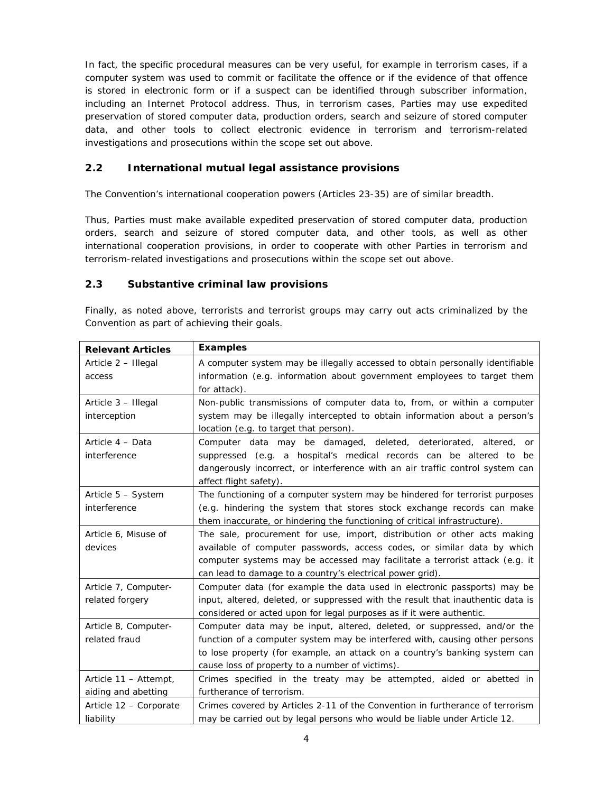In fact, the specific procedural measures can be very useful, for example in terrorism cases, if a computer system was used to commit or facilitate the offence or if the evidence of that offence is stored in electronic form or if a suspect can be identified through subscriber information, including an Internet Protocol address. Thus, in terrorism cases, Parties may use expedited preservation of stored computer data, production orders, search and seizure of stored computer data, and other tools to collect electronic evidence in terrorism and terrorism-related investigations and prosecutions within the scope set out above.

## **2.2 International mutual legal assistance provisions**

The Convention's international cooperation powers (Articles 23-35) are of similar breadth.

Thus, Parties must make available expedited preservation of stored computer data, production orders, search and seizure of stored computer data, and other tools, as well as other international cooperation provisions, in order to cooperate with other Parties in terrorism and terrorism-related investigations and prosecutions within the scope set out above.

## **2.3 Substantive criminal law provisions**

Finally, as noted above, terrorists and terrorist groups may carry out acts criminalized by the Convention as part of achieving their goals.

| <b>Relevant Articles</b> | Examples                                                                        |
|--------------------------|---------------------------------------------------------------------------------|
| Article 2 - Illegal      | A computer system may be illegally accessed to obtain personally identifiable   |
| access                   | information (e.g. information about government employees to target them         |
|                          | for attack).                                                                    |
| Article 3 - Illegal      | Non-public transmissions of computer data to, from, or within a computer        |
| interception             | system may be illegally intercepted to obtain information about a person's      |
|                          | location (e.g. to target that person).                                          |
| Article 4 - Data         | Computer data may be damaged, deleted, deteriorated, altered,<br>or             |
| interference             | suppressed (e.g. a hospital's medical records can be altered to<br>be           |
|                          | dangerously incorrect, or interference with an air traffic control system can   |
|                          | affect flight safety).                                                          |
| Article 5 - System       | The functioning of a computer system may be hindered for terrorist purposes     |
| interference             | (e.g. hindering the system that stores stock exchange records can make          |
|                          | them inaccurate, or hindering the functioning of critical infrastructure).      |
| Article 6, Misuse of     | The sale, procurement for use, import, distribution or other acts making        |
| devices                  | available of computer passwords, access codes, or similar data by which         |
|                          | computer systems may be accessed may facilitate a terrorist attack (e.g. it     |
|                          | can lead to damage to a country's electrical power grid).                       |
| Article 7, Computer-     | Computer data (for example the data used in electronic passports) may be        |
| related forgery          | input, altered, deleted, or suppressed with the result that inauthentic data is |
|                          | considered or acted upon for legal purposes as if it were authentic.            |
| Article 8, Computer-     | Computer data may be input, altered, deleted, or suppressed, and/or the         |
| related fraud            | function of a computer system may be interfered with, causing other persons     |
|                          | to lose property (for example, an attack on a country's banking system can      |
|                          | cause loss of property to a number of victims).                                 |
| Article 11 - Attempt,    | Crimes specified in the treaty may be attempted, aided or abetted in            |
| aiding and abetting      | furtherance of terrorism.                                                       |
| Article 12 - Corporate   | Crimes covered by Articles 2-11 of the Convention in furtherance of terrorism   |
| liability                | may be carried out by legal persons who would be liable under Article 12.       |